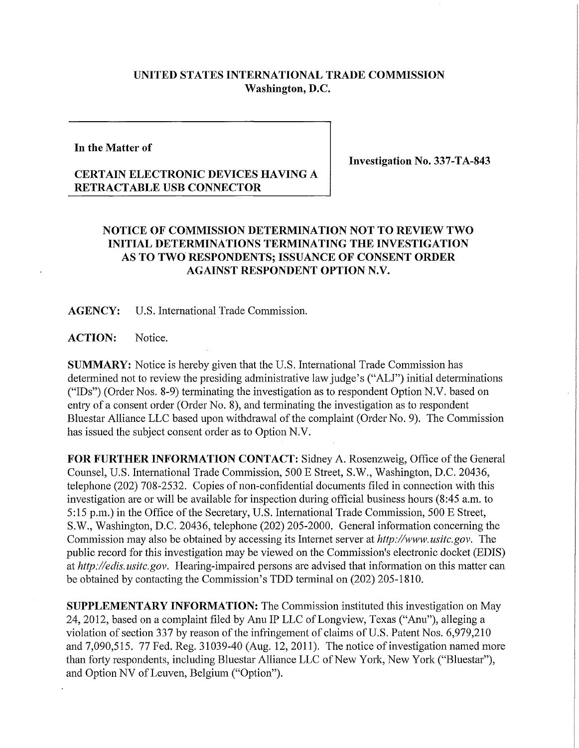## **UNITED STATES INTERNATIONAL TRADE COMMISSION Washington, D.C.**

## **In the Matter of**

**Investigation No. 337-TA-843** 

## **CERTAIN ELECTRONIC DEVICES HAVING A RETRACTABLE USB CONNECTOR**

## **NOTICE OF COMMISSION DETERMINATION NOT TO REVIEW TWO INITIAL DETERMINATIONS TERMINATING THE INVESTIGATION AS TO TWO RESPONDENTS; ISSUANCE OF CONSENT ORDER AGAINST RESPONDENT OPTION N.V.**

**AGENCY:** U.S. International Trade Commission.

**ACTION:** Notice.

**SUMMARY:** Notice is hereby given that the U.S. International Trade Commission has determined not to review the presiding administrative law judge's ("ALJ") initial determinations ("IDs") (Order Nos. 8-9) terminating the investigation as to respondent Option N.V. based on entry of a consent order (Order No. 8), and terminating the investigation as to respondent Bluestar Alliance LLC based upon withdrawal of the complaint (Order No. 9). The Commission has issued the subject consent order as to Option N.V.

FOR FURTHER INFORMATION CONTACT: Sidney A. Rosenzweig, Office of the General Counsel, U.S. International Trade Commission, 500 E Street, S.W., Washington, D.C. 20436, telephone (202) 708-2532. Copies of non-confidential documents filed in connection with this investigation are or will be available for inspection during official business hours (8:45 a.m. to 5:15 p.m.) in the Office of the Secretary, U.S. International Trade Commission, 500 E Street, S.W., Washington, D.C. 20436, telephone (202) 205-2000. General information concerning the Commission may also be obtained by accessing its Internet server at *http://www.usitc.goy.* The public record for this investigation may be viewed on the Commission's electronic docket (EDIS) at *http://edis. usitc.gov.* Hearing-impaired persons are advised that information on this matter can be obtained by contacting the Commission's TDD terminal on (202) 205-1810.

**SUPPLEMENTARY INFORMATION:** The Commission instituted this investigation on May 24, 2012, based on a complaint filed by Anu IP LLC of Longview, Texas ("Anu"), alleging a violation of section 337 by reason of the infringement of claims of U.S. Patent Nos. 6,979,210 and 7,090,515. 77 Fed. Reg. 31039-40 (Aug. 12,2011). The notice of investigation named more than forty respondents, including Bluestar Alliance LLC of New York, New York ("Bluestar"), and Option NV of Leuven, Belgium ("Option").